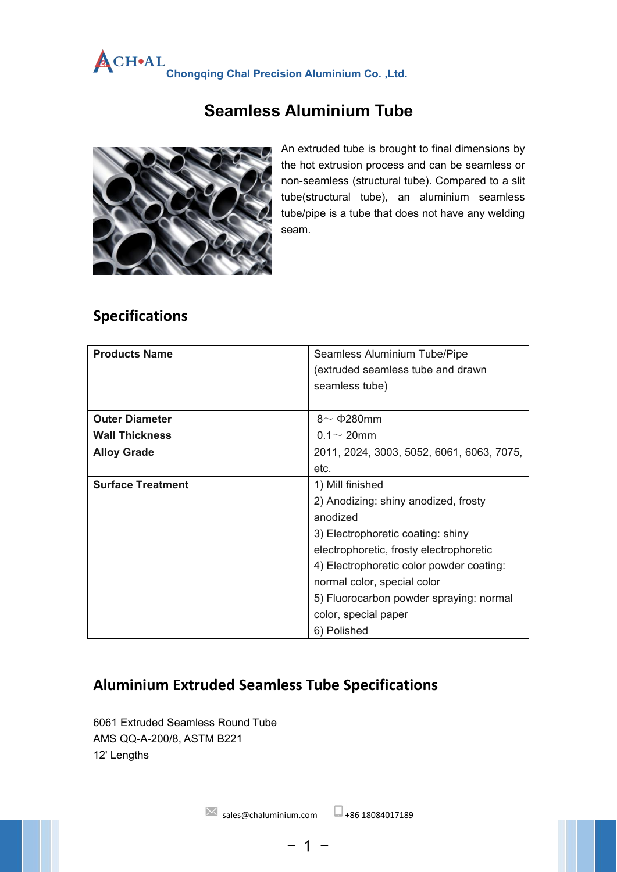# **Chongqing Chal Precision Aluminium Co. ,Ltd.**

# **Seamless Aluminium Tube**



An extruded tube is brought to final dimensions by the hot extrusion process and can be seamless or non-seamless (structural tube). Compared to a slit tube(structural tube), an aluminium seamless tube/pipe is a tube that does not have any welding seam.

### **Specifications**

| <b>Products Name</b>     | Seamless Aluminium Tube/Pipe              |  |  |
|--------------------------|-------------------------------------------|--|--|
|                          | (extruded seamless tube and drawn         |  |  |
|                          | seamless tube)                            |  |  |
|                          |                                           |  |  |
| <b>Outer Diameter</b>    | 8 $\sim$ $\Phi$ 280mm                     |  |  |
| <b>Wall Thickness</b>    | $0.1 - 20$ mm                             |  |  |
| <b>Alloy Grade</b>       | 2011, 2024, 3003, 5052, 6061, 6063, 7075, |  |  |
|                          | etc.                                      |  |  |
| <b>Surface Treatment</b> | 1) Mill finished                          |  |  |
|                          | 2) Anodizing: shiny anodized, frosty      |  |  |
|                          | anodized                                  |  |  |
|                          | 3) Electrophoretic coating: shiny         |  |  |
|                          | electrophoretic, frosty electrophoretic   |  |  |
|                          | 4) Electrophoretic color powder coating:  |  |  |
|                          | normal color, special color               |  |  |
|                          | 5) Fluorocarbon powder spraying: normal   |  |  |
|                          | color, special paper                      |  |  |
|                          | 6) Polished                               |  |  |

## **Aluminium Extruded Seamless Tube Specifications**

6061 Extruded Seamless Round Tube AMS QQ-A-200/8, ASTM B221 12' Lengths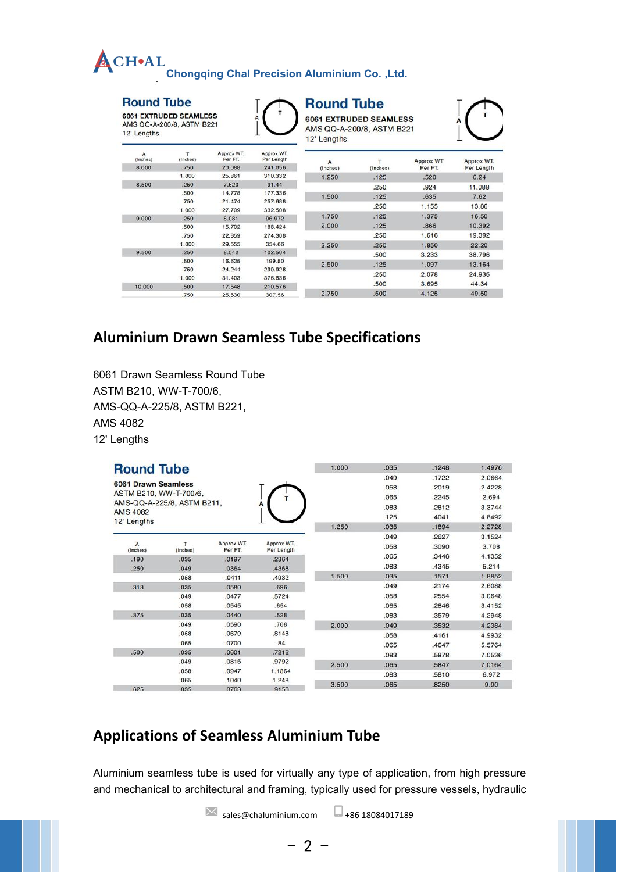| <b>ACHOAL</b> |                                                     |  |
|---------------|-----------------------------------------------------|--|
|               | <b>Chongqing Chal Precision Aluminium Co., Ltd.</b> |  |

#### **Round Tube**

6061 EXTRUDED SEAMLESS AMS QQ-A-200/8, ASTM B221 12' Lengths



#### **Round Tube**

**6061 EXTRUDED SEAMLESS** AMS QQ-A-200/8, ASTM B221 12' Lengths



| А<br>(Inches) | T<br>(Inches) | Approx WT.<br>Per FT. | Approx WT.<br>Per Length | A        |          | Approx WT. | Approx WT. |
|---------------|---------------|-----------------------|--------------------------|----------|----------|------------|------------|
| 8.000         | .750          | 20.088                | 241.056                  | (Inches) | (Inches) | Per FT.    | Per Length |
|               | 1.000         | 25.861                | 310.332                  | 1.250    | .125     | .520       | 6.24       |
| 8.500         | .250          | 7.620                 | 91.44                    |          | .250     | .924       | 11.088     |
|               | .500          | 14.778                | 177.336                  | 1.500    | .125     | .635       | 7.62       |
|               | .750          | 21.474                | 257.688                  |          |          |            |            |
|               | 1.000         | 27.709                | 332.508                  |          | .250     | 1.155      | 13.86      |
| 9.000         | .250          | 8.081                 | 96.972                   | 1.750    | .125     | 1.375      | 16.50      |
|               | .500          | 15.702                | 188.424                  | 2.000    | .125     | .866       | 10.392     |
|               | .750          | 22.859                | 274.308                  |          | .250     | 1.616      | 19.392     |
|               | 1.000         | 29.555                | 354.66                   | 2.250    | .250     | 1.850      | 22.20      |
| 9.500         | .250          | 8.542                 | 102.504                  |          | .500     | 3.233      | 38.796     |
|               | .500          | 16.625                | 199.50                   | 2.500    | .125     | 1.097      | 13.164     |
|               | .750          | 24.244                | 290.928                  |          |          |            |            |
|               | 1.000         | 31.403                | 376,836                  |          | .250     | 2.078      | 24.936     |
| 10.000        | .500          | 17.548                | 210.576                  |          | .500     | 3.695      | 44.34      |
|               | .750          | 25.630                | 307.56                   | 2.750    | .500     | 4.125      | 49.50      |

### **Aluminium Drawn Seamless Tube Specifications**

6061 Drawn Seamless Round Tube ASTM B210, WW-T-700/6, AMS-QQ-A-225/8, ASTM B221, AMS 4082 12' Lengths

| <b>Round Tube</b>          |                            |                       |                          | 1.000 | .035<br>.049 | .1248<br>.1722 | 1.4976<br>2.0664 |
|----------------------------|----------------------------|-----------------------|--------------------------|-------|--------------|----------------|------------------|
| <b>6061 Drawn Seamless</b> |                            |                       |                          |       | .058         | .2019          | 2.4228           |
|                            | ASTM B210, WW-T-700/6,     |                       |                          |       | .065         | .2245          | 2.694            |
| <b>AMS 4082</b>            | AMS-QQ-A-225/8, ASTM B211, |                       |                          |       | .083         | .2812          | 3.3744           |
| 12' Lengths                |                            |                       |                          |       | .125         | .4041          | 4.8492           |
|                            |                            |                       |                          | 1.250 | .035         | .1894          | 2.2728           |
|                            |                            |                       |                          |       | .049         | .2627          | 3.1524           |
| A<br>(Inches)              | т<br>(Inches)              | Approx WT.<br>Per FT. | Approx WT.<br>Per Length |       | .058         | .3090          | 3.708            |
| .190                       | .035                       | .0197                 | .2364                    |       | .065         | .3446          | 4.1352           |
| .250                       | .049                       | .0364                 | .4368                    |       | .083         | .4345          | 5.214            |
|                            | .058                       | .0411                 | .4932                    | 1.500 | .035         | .1571          | 1.8852           |
| .313                       | .035                       | .0580                 | .696                     |       | .049         | .2174          | 2.6088           |
|                            | .049                       | .0477                 | .5724                    |       | .058         | .2554          | 3.0648           |
|                            | .058                       | .0545                 | .654                     |       | .065         | .2846          | 3.4152           |
| .375                       | .035                       | .0440                 | .528                     |       | .083         | .3579          | 4.2948           |
|                            | .049                       | .0590                 | .708                     | 2.000 | .049         | .3532          | 4.2384           |
|                            | .058                       | .0679                 | .8148                    |       | .058         | .4161          | 4.9932           |
|                            | .065                       | .0700                 | .84                      |       | .065         | .4647          | 5.5764           |
| .500                       | .035                       | .0601                 | .7212                    |       | .083         | .5878          | 7.0536           |
|                            | .049                       | .0816                 | .9792                    | 2.500 | .065         | .5847          | 7.0164           |
|                            | .058                       | .0947                 | 1.1364                   |       | .083         | .5810          | 6.972            |
|                            | .065                       | .1040                 | 1.248                    | 3.500 | .065         | .8250          | 9.90             |
| $\sim$                     | $n \cdot r$                | 0.700                 | $\sum_{n=1}^{n} a_n$     |       |              |                |                  |

#### **Applications of Seamless Aluminium Tube**

Aluminium seamless tube is used for virtually any type of application, from high pressure and mechanical to architectural and framing, typically used for pressure vessels, hydraulic

 $- 2 -$